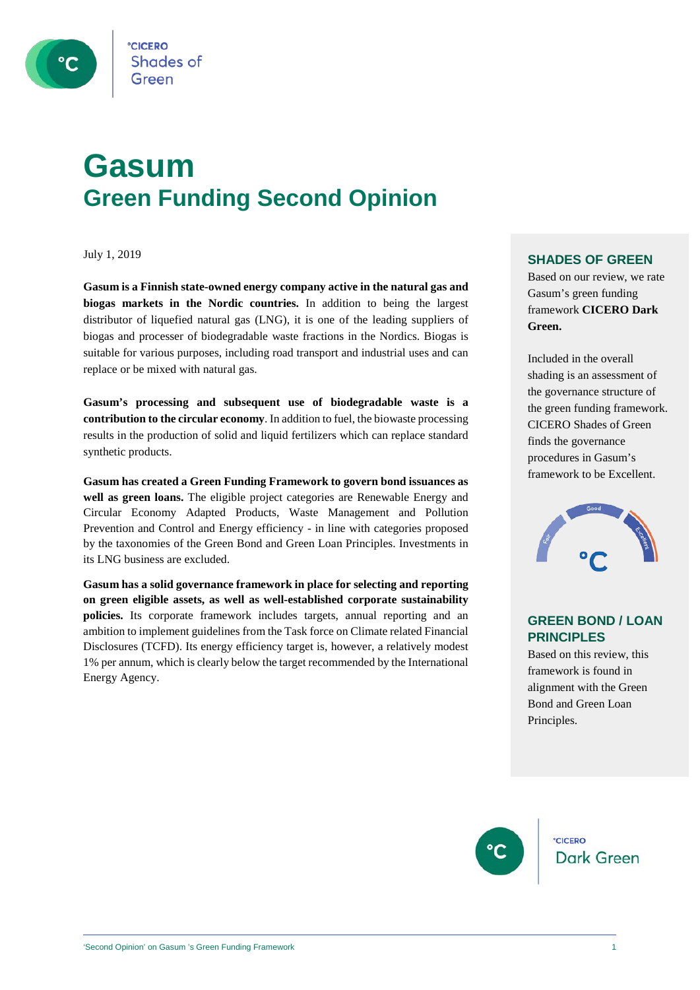

**Shades of** 

## **Gasum Green Funding Second Opinion**

July 1, 2019

**Gasum is a Finnish state-owned energy company active in the natural gas and biogas markets in the Nordic countries.** In addition to being the largest distributor of liquefied natural gas (LNG), it is one of the leading suppliers of biogas and processer of biodegradable waste fractions in the Nordics. Biogas is suitable for various purposes, including road transport and industrial uses and can replace or be mixed with natural gas.

**Gasum's processing and subsequent use of biodegradable waste is a contribution to the circular economy**. In addition to fuel, the biowaste processing results in the production of solid and liquid fertilizers which can replace standard synthetic products.

**Gasum has created a Green Funding Framework to govern bond issuances as well as green loans.** The eligible project categories are Renewable Energy and Circular Economy Adapted Products, Waste Management and Pollution Prevention and Control and Energy efficiency - in line with categories proposed by the taxonomies of the Green Bond and Green Loan Principles. Investments in its LNG business are excluded.

**Gasum has a solid governance framework in place for selecting and reporting on green eligible assets, as well as well-established corporate sustainability policies.** Its corporate framework includes targets, annual reporting and an ambition to implement guidelines from the Task force on Climate related Financial Disclosures (TCFD). Its energy efficiency target is, however, a relatively modest 1% per annum, which is clearly below the target recommended by the International Energy Agency.

#### **SHADES OF GREEN**

Based on our review, we rate Gasum's green funding framework **CICERO Dark Green.** 

Included in the overall shading is an assessment of the governance structure of the green funding framework. CICERO Shades of Green finds the governance procedures in Gasum's framework to be Excellent.



#### **GREEN BOND / LOAN PRINCIPLES**

Based on this review, this framework is found in alignment with the Green Bond and Green Loan Principles.



**CICERO Dark Green**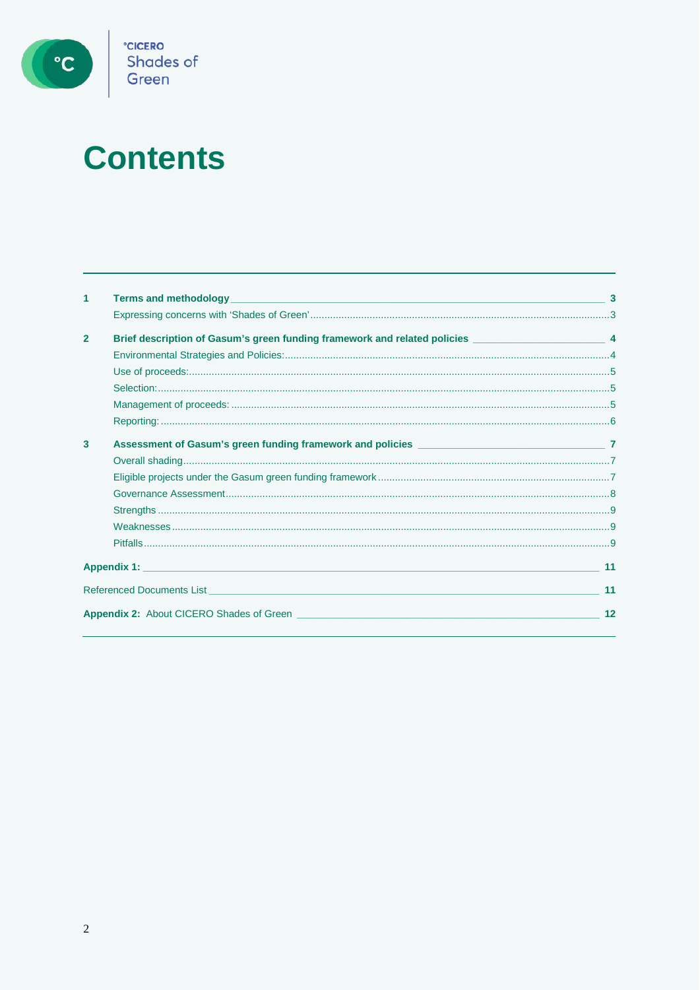

# **Contents**

| 1              |                                                                                                        |    |
|----------------|--------------------------------------------------------------------------------------------------------|----|
|                |                                                                                                        |    |
| $\overline{2}$ | Brief description of Gasum's green funding framework and related policies __________________________ 4 |    |
|                |                                                                                                        |    |
|                |                                                                                                        |    |
|                |                                                                                                        |    |
|                |                                                                                                        |    |
|                |                                                                                                        |    |
| 3              |                                                                                                        |    |
|                |                                                                                                        |    |
|                |                                                                                                        |    |
|                |                                                                                                        |    |
|                |                                                                                                        |    |
|                |                                                                                                        |    |
|                |                                                                                                        |    |
|                |                                                                                                        | 11 |
|                |                                                                                                        | 11 |
|                |                                                                                                        | 12 |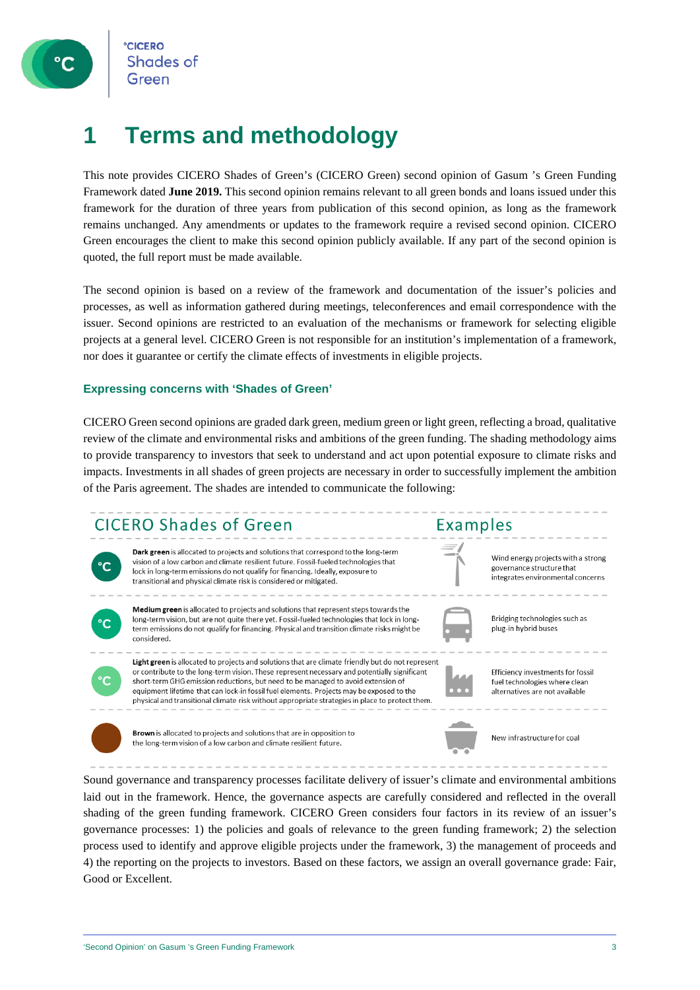

## **1 Terms and methodology**

This note provides CICERO Shades of Green's (CICERO Green) second opinion of Gasum 's Green Funding Framework dated **June 2019.** This second opinion remains relevant to all green bonds and loans issued under this framework for the duration of three years from publication of this second opinion, as long as the framework remains unchanged. Any amendments or updates to the framework require a revised second opinion. CICERO Green encourages the client to make this second opinion publicly available. If any part of the second opinion is quoted, the full report must be made available.

The second opinion is based on a review of the framework and documentation of the issuer's policies and processes, as well as information gathered during meetings, teleconferences and email correspondence with the issuer. Second opinions are restricted to an evaluation of the mechanisms or framework for selecting eligible projects at a general level. CICERO Green is not responsible for an institution's implementation of a framework, nor does it guarantee or certify the climate effects of investments in eligible projects.

#### **Expressing concerns with 'Shades of Green'**

CICERO Green second opinions are graded dark green, medium green or light green, reflecting a broad, qualitative review of the climate and environmental risks and ambitions of the green funding. The shading methodology aims to provide transparency to investors that seek to understand and act upon potential exposure to climate risks and impacts. Investments in all shades of green projects are necessary in order to successfully implement the ambition of the Paris agreement. The shades are intended to communicate the following:



Sound governance and transparency processes facilitate delivery of issuer's climate and environmental ambitions laid out in the framework. Hence, the governance aspects are carefully considered and reflected in the overall shading of the green funding framework. CICERO Green considers four factors in its review of an issuer's governance processes: 1) the policies and goals of relevance to the green funding framework; 2) the selection process used to identify and approve eligible projects under the framework, 3) the management of proceeds and 4) the reporting on the projects to investors. Based on these factors, we assign an overall governance grade: Fair, Good or Excellent.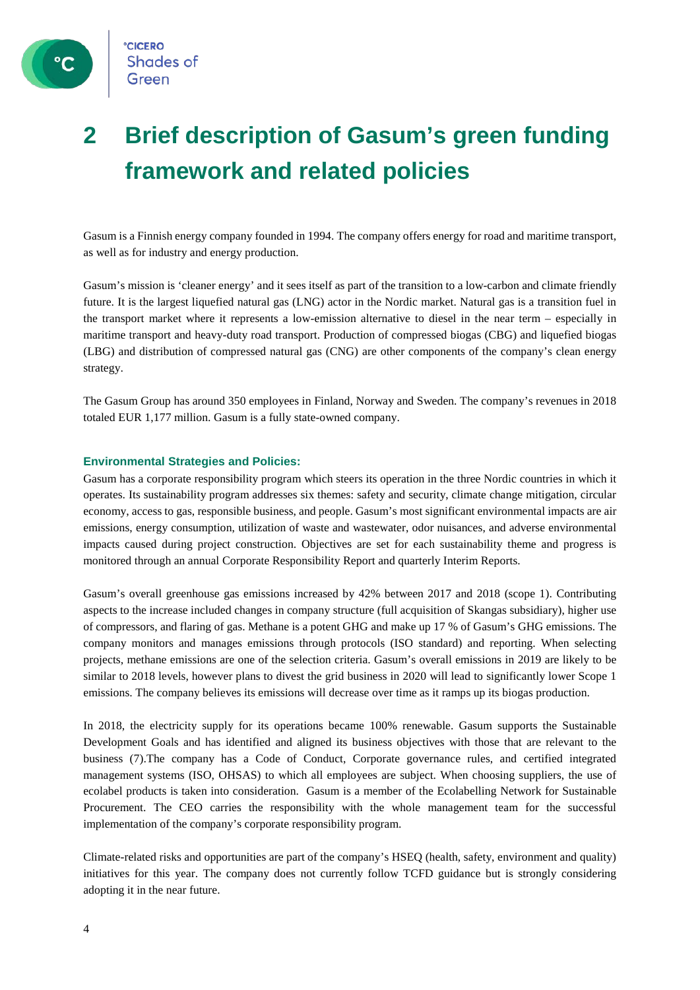

 $\degree$ C

## **2 Brief description of Gasum's green funding framework and related policies**

Gasum is a Finnish energy company founded in 1994. The company offers energy for road and maritime transport, as well as for industry and energy production.

Gasum's mission is 'cleaner energy' and it sees itself as part of the transition to a low-carbon and climate friendly future. It is the largest liquefied natural gas (LNG) actor in the Nordic market. Natural gas is a transition fuel in the transport market where it represents a low-emission alternative to diesel in the near term – especially in maritime transport and heavy-duty road transport. Production of compressed biogas (CBG) and liquefied biogas (LBG) and distribution of compressed natural gas (CNG) are other components of the company's clean energy strategy.

The Gasum Group has around 350 employees in Finland, Norway and Sweden. The company's revenues in 2018 totaled EUR 1,177 million. Gasum is a fully state-owned company.

#### **Environmental Strategies and Policies:**

Gasum has a corporate responsibility program which steers its operation in the three Nordic countries in which it operates. Its sustainability program addresses six themes: safety and security, climate change mitigation, circular economy, access to gas, responsible business, and people. Gasum's most significant environmental impacts are air emissions, energy consumption, utilization of waste and wastewater, odor nuisances, and adverse environmental impacts caused during project construction. Objectives are set for each sustainability theme and progress is monitored through an annual Corporate Responsibility Report and quarterly Interim Reports.

Gasum's overall greenhouse gas emissions increased by 42% between 2017 and 2018 (scope 1). Contributing aspects to the increase included changes in company structure (full acquisition of Skangas subsidiary), higher use of compressors, and flaring of gas. Methane is a potent GHG and make up 17 % of Gasum's GHG emissions. The company monitors and manages emissions through protocols (ISO standard) and reporting. When selecting projects, methane emissions are one of the selection criteria. Gasum's overall emissions in 2019 are likely to be similar to 2018 levels, however plans to divest the grid business in 2020 will lead to significantly lower Scope 1 emissions. The company believes its emissions will decrease over time as it ramps up its biogas production.

In 2018, the electricity supply for its operations became 100% renewable. Gasum supports the Sustainable Development Goals and has identified and aligned its business objectives with those that are relevant to the business (7).The company has a Code of Conduct, Corporate governance rules, and certified integrated management systems (ISO, OHSAS) to which all employees are subject. When choosing suppliers, the use of ecolabel products is taken into consideration. Gasum is a member of the Ecolabelling Network for Sustainable Procurement. The CEO carries the responsibility with the whole management team for the successful implementation of the company's corporate responsibility program.

Climate-related risks and opportunities are part of the company's HSEQ (health, safety, environment and quality) initiatives for this year. The company does not currently follow TCFD guidance but is strongly considering adopting it in the near future.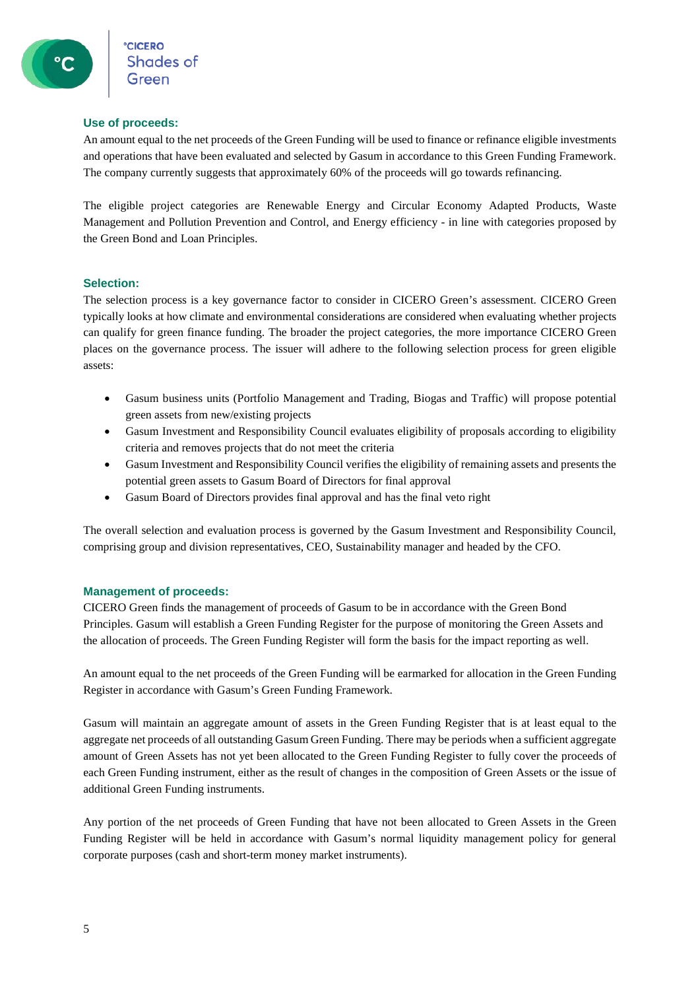#### **Use of proceeds:**

An amount equal to the net proceeds of the Green Funding will be used to finance or refinance eligible investments and operations that have been evaluated and selected by Gasum in accordance to this Green Funding Framework. The company currently suggests that approximately 60% of the proceeds will go towards refinancing.

The eligible project categories are Renewable Energy and Circular Economy Adapted Products, Waste Management and Pollution Prevention and Control, and Energy efficiency - in line with categories proposed by the Green Bond and Loan Principles.

#### **Selection:**

The selection process is a key governance factor to consider in CICERO Green's assessment. CICERO Green typically looks at how climate and environmental considerations are considered when evaluating whether projects can qualify for green finance funding. The broader the project categories, the more importance CICERO Green places on the governance process. The issuer will adhere to the following selection process for green eligible assets:

- Gasum business units (Portfolio Management and Trading, Biogas and Traffic) will propose potential green assets from new/existing projects
- Gasum Investment and Responsibility Council evaluates eligibility of proposals according to eligibility criteria and removes projects that do not meet the criteria
- Gasum Investment and Responsibility Council verifies the eligibility of remaining assets and presents the potential green assets to Gasum Board of Directors for final approval
- Gasum Board of Directors provides final approval and has the final veto right

The overall selection and evaluation process is governed by the Gasum Investment and Responsibility Council, comprising group and division representatives, CEO, Sustainability manager and headed by the CFO.

#### **Management of proceeds:**

CICERO Green finds the management of proceeds of Gasum to be in accordance with the Green Bond Principles. Gasum will establish a Green Funding Register for the purpose of monitoring the Green Assets and the allocation of proceeds. The Green Funding Register will form the basis for the impact reporting as well.

An amount equal to the net proceeds of the Green Funding will be earmarked for allocation in the Green Funding Register in accordance with Gasum's Green Funding Framework.

Gasum will maintain an aggregate amount of assets in the Green Funding Register that is at least equal to the aggregate net proceeds of all outstanding Gasum Green Funding. There may be periods when a sufficient aggregate amount of Green Assets has not yet been allocated to the Green Funding Register to fully cover the proceeds of each Green Funding instrument, either as the result of changes in the composition of Green Assets or the issue of additional Green Funding instruments.

Any portion of the net proceeds of Green Funding that have not been allocated to Green Assets in the Green Funding Register will be held in accordance with Gasum's normal liquidity management policy for general corporate purposes (cash and short-term money market instruments).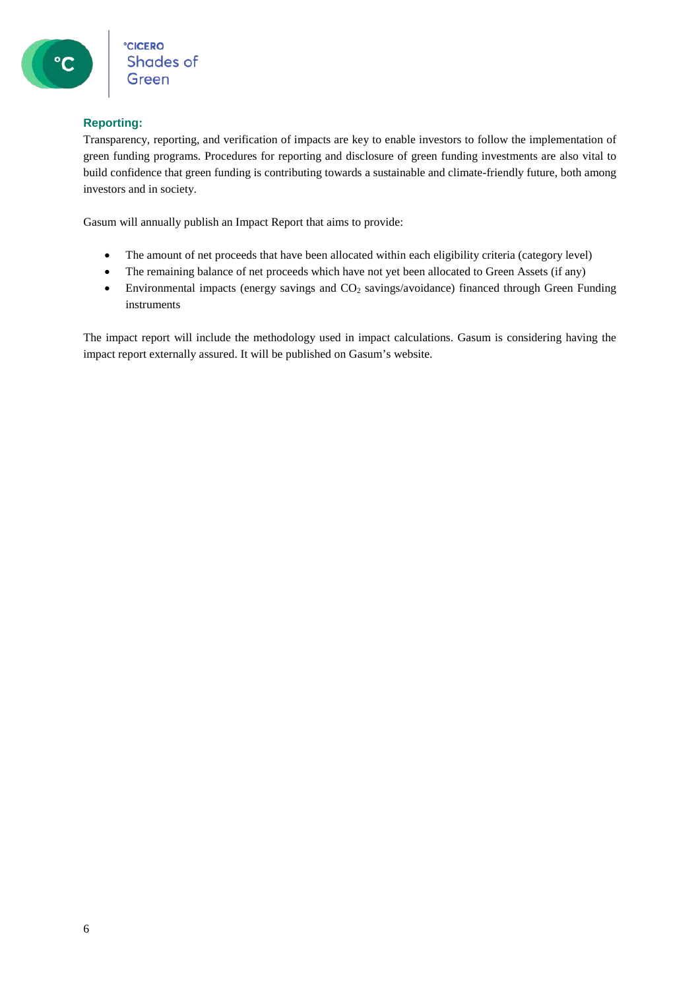#### **Reporting:**

Transparency, reporting, and verification of impacts are key to enable investors to follow the implementation of green funding programs. Procedures for reporting and disclosure of green funding investments are also vital to build confidence that green funding is contributing towards a sustainable and climate-friendly future, both among investors and in society.

Gasum will annually publish an Impact Report that aims to provide:

- The amount of net proceeds that have been allocated within each eligibility criteria (category level)
- The remaining balance of net proceeds which have not yet been allocated to Green Assets (if any)
- Environmental impacts (energy savings and CO<sub>2</sub> savings/avoidance) financed through Green Funding instruments

The impact report will include the methodology used in impact calculations. Gasum is considering having the impact report externally assured. It will be published on Gasum's website.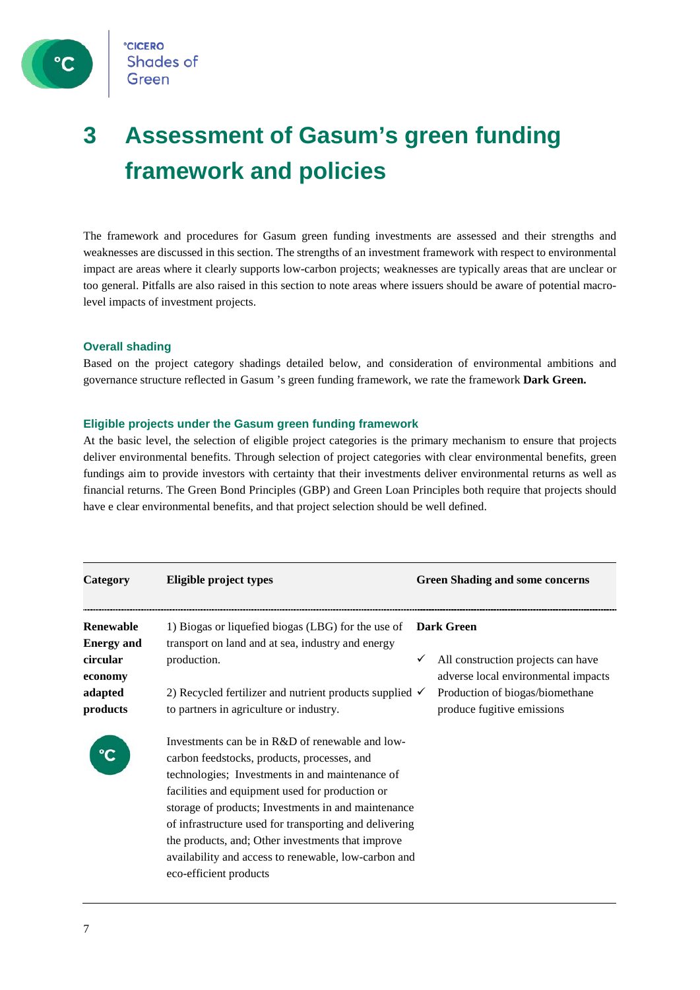

**CICERO Shades of** Green

## **3 Assessment of Gasum's green funding framework and policies**

The framework and procedures for Gasum green funding investments are assessed and their strengths and weaknesses are discussed in this section. The strengths of an investment framework with respect to environmental impact are areas where it clearly supports low-carbon projects; weaknesses are typically areas that are unclear or too general. Pitfalls are also raised in this section to note areas where issuers should be aware of potential macrolevel impacts of investment projects.

#### **Overall shading**

Based on the project category shadings detailed below, and consideration of environmental ambitions and governance structure reflected in Gasum 's green funding framework, we rate the framework **Dark Green.**

#### **Eligible projects under the Gasum green funding framework**

At the basic level, the selection of eligible project categories is the primary mechanism to ensure that projects deliver environmental benefits. Through selection of project categories with clear environmental benefits, green fundings aim to provide investors with certainty that their investments deliver environmental returns as well as financial returns. The Green Bond Principles (GBP) and Green Loan Principles both require that projects should have e clear environmental benefits, and that project selection should be well defined.

| Category                                              | Eligible project types                                                                                                                                                                                                                                                                                                                                                                                                                                       |              | <b>Green Shading and some concerns</b>                                                         |
|-------------------------------------------------------|--------------------------------------------------------------------------------------------------------------------------------------------------------------------------------------------------------------------------------------------------------------------------------------------------------------------------------------------------------------------------------------------------------------------------------------------------------------|--------------|------------------------------------------------------------------------------------------------|
| Renewable<br><b>Energy and</b><br>circular<br>economy | 1) Biogas or liquefied biogas (LBG) for the use of<br>transport on land and at sea, industry and energy<br>production.                                                                                                                                                                                                                                                                                                                                       | $\checkmark$ | <b>Dark Green</b><br>All construction projects can have<br>adverse local environmental impacts |
| adapted<br>products                                   | 2) Recycled fertilizer and nutrient products supplied $\checkmark$<br>to partners in agriculture or industry.                                                                                                                                                                                                                                                                                                                                                |              | Production of biogas/biomethane<br>produce fugitive emissions                                  |
|                                                       | Investments can be in R&D of renewable and low-<br>carbon feedstocks, products, processes, and<br>technologies; Investments in and maintenance of<br>facilities and equipment used for production or<br>storage of products; Investments in and maintenance<br>of infrastructure used for transporting and delivering<br>the products, and; Other investments that improve<br>availability and access to renewable, low-carbon and<br>eco-efficient products |              |                                                                                                |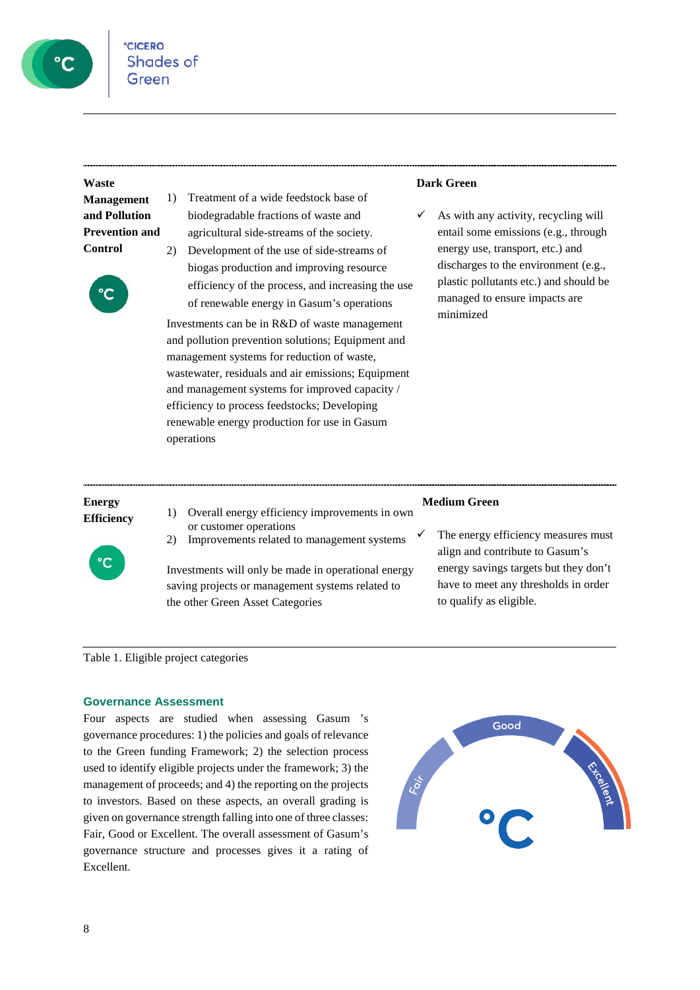

#### **Waste**

**Management and Pollution Prevention and Control**



- 1) Treatment of a wide feedstock base of biodegradable fractions of waste and agricultural side-streams of the society.
- 2) Development of the use of side-streams of biogas production and improving resource efficiency of the process, and increasing the use of renewable energy in Gasum's operations

Investments can be in R&D of waste management and pollution prevention solutions; Equipment and management systems for reduction of waste, wastewater, residuals and air emissions; Equipment and management systems for improved capacity / efficiency to process feedstocks; Developing renewable energy production for use in Gasum operations

#### **Dark Green**

 As with any activity, recycling will entail some emissions (e.g., through energy use, transport, etc.) and discharges to the environment (e.g., plastic pollutants etc.) and should be managed to ensure impacts are minimized

## **Energy**



- **Efficiency** 1) Overall energy efficiency improvements in own or customer operations
	- 2) Improvements related to management systems

Investments will only be made in operational energy saving projects or management systems related to the other Green Asset Categories

#### **Medium Green**

 The energy efficiency measures must align and contribute to Gasum's energy savings targets but they don't have to meet any thresholds in order to qualify as eligible.

Table 1. Eligible project categories

#### **Governance Assessment**

Four aspects are studied when assessing Gasum 's governance procedures: 1) the policies and goals of relevance to the Green funding Framework; 2) the selection process used to identify eligible projects under the framework; 3) the management of proceeds; and 4) the reporting on the projects to investors. Based on these aspects, an overall grading is given on governance strength falling into one of three classes: Fair, Good or Excellent. The overall assessment of Gasum's governance structure and processes gives it a rating of Excellent.

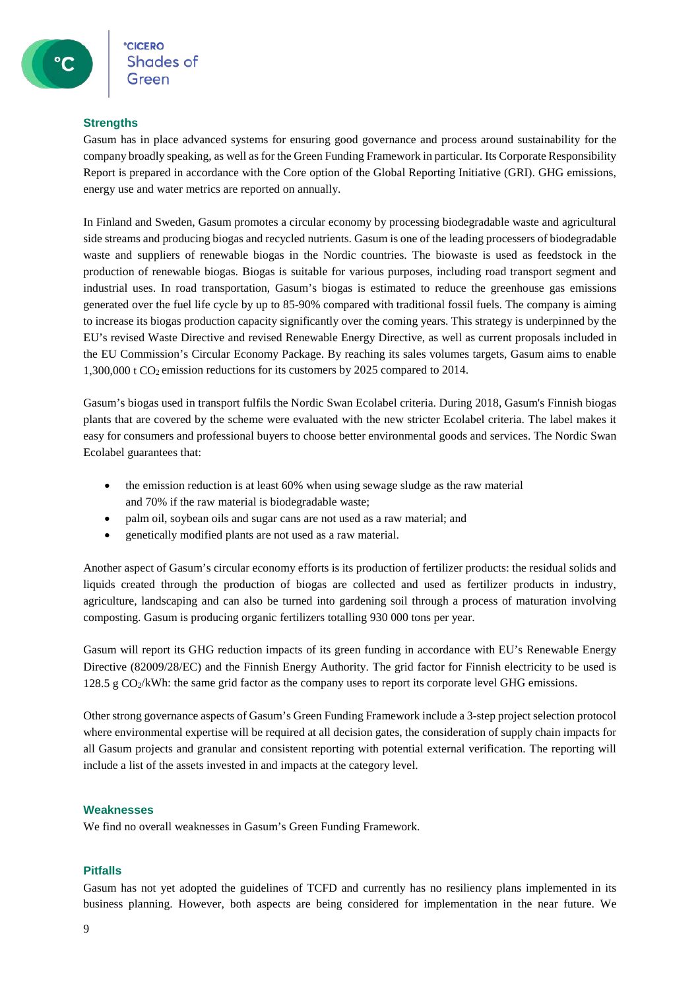#### **Strengths**

Gasum has in place advanced systems for ensuring good governance and process around sustainability for the company broadly speaking, as well as for the Green Funding Framework in particular. Its Corporate Responsibility Report is prepared in accordance with the Core option of the Global Reporting Initiative (GRI). GHG emissions, energy use and water metrics are reported on annually.

In Finland and Sweden, Gasum promotes a circular economy by processing biodegradable waste and agricultural side streams and producing biogas and recycled nutrients. Gasum is one of the leading processers of biodegradable waste and suppliers of renewable biogas in the Nordic countries. The biowaste is used as feedstock in the production of renewable biogas. Biogas is suitable for various purposes, including road transport segment and industrial uses. In road transportation, Gasum's biogas is estimated to reduce the greenhouse gas emissions generated over the fuel life cycle by up to 85-90% compared with traditional fossil fuels. The company is aiming to increase its biogas production capacity significantly over the coming years. This strategy is underpinned by the EU's revised Waste Directive and revised Renewable Energy Directive, as well as current proposals included in the EU Commission's Circular Economy Package. By reaching its sales volumes targets, Gasum aims to enable 1,300,000 t  $CO_2$  emission reductions for its customers by 2025 compared to 2014.

Gasum's biogas used in transport fulfils the Nordic Swan Ecolabel criteria. During 2018, Gasum's Finnish biogas plants that are covered by the scheme were evaluated with the new stricter Ecolabel criteria. The label makes it easy for consumers and professional buyers to choose better environmental goods and services. The Nordic Swan Ecolabel guarantees that:

- the emission reduction is at least 60% when using sewage sludge as the raw material and 70% if the raw material is biodegradable waste;
- palm oil, soybean oils and sugar cans are not used as a raw material; and
- genetically modified plants are not used as a raw material.

Another aspect of Gasum's circular economy efforts is its production of fertilizer products: the residual solids and liquids created through the production of biogas are collected and used as fertilizer products in industry, agriculture, landscaping and can also be turned into gardening soil through a process of maturation involving composting. Gasum is producing organic fertilizers totalling 930 000 tons per year.

Gasum will report its GHG reduction impacts of its green funding in accordance with EU's Renewable Energy Directive (82009/28/EC) and the Finnish Energy Authority. The grid factor for Finnish electricity to be used is 128.5 g  $CO<sub>2</sub>/kWh$ : the same grid factor as the company uses to report its corporate level GHG emissions.

Other strong governance aspects of Gasum's Green Funding Framework include a 3-step project selection protocol where environmental expertise will be required at all decision gates, the consideration of supply chain impacts for all Gasum projects and granular and consistent reporting with potential external verification. The reporting will include a list of the assets invested in and impacts at the category level.

#### **Weaknesses**

We find no overall weaknesses in Gasum's Green Funding Framework.

#### **Pitfalls**

Gasum has not yet adopted the guidelines of TCFD and currently has no resiliency plans implemented in its business planning. However, both aspects are being considered for implementation in the near future. We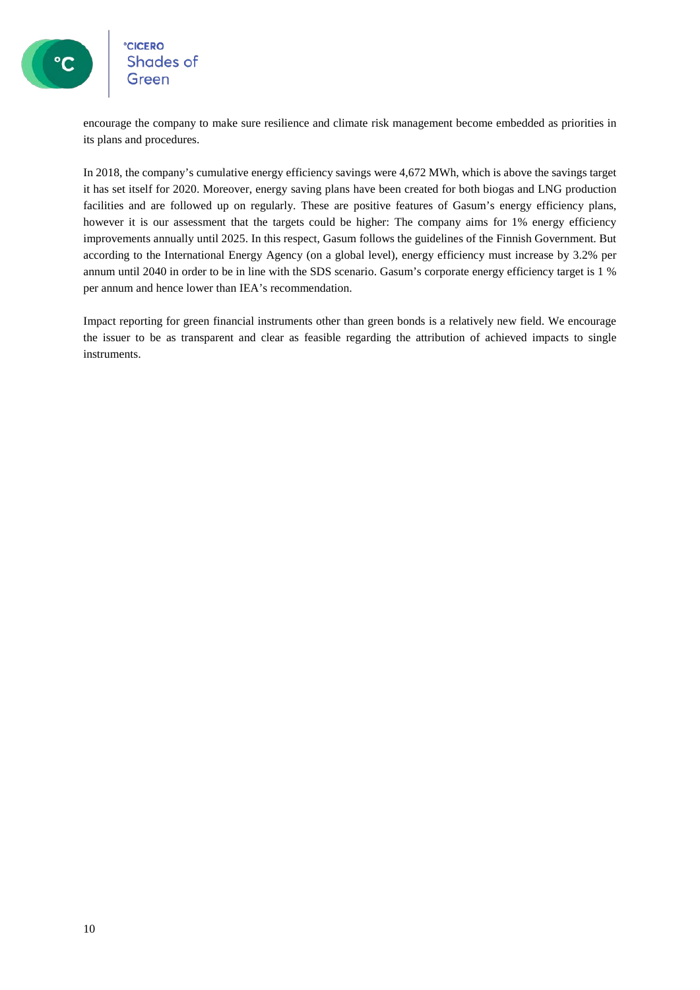

# **CICERO**<br>Shades of

encourage the company to make sure resilience and climate risk management become embedded as priorities in its plans and procedures.

In 2018, the company's cumulative energy efficiency savings were 4,672 MWh, which is above the savings target it has set itself for 2020. Moreover, energy saving plans have been created for both biogas and LNG production facilities and are followed up on regularly. These are positive features of Gasum's energy efficiency plans, however it is our assessment that the targets could be higher: The company aims for 1% energy efficiency improvements annually until 2025. In this respect, Gasum follows the guidelines of the Finnish Government. But according to the International Energy Agency (on a global level), energy efficiency must increase by 3.2% per annum until 2040 in order to be in line with the SDS scenario. Gasum's corporate energy efficiency target is 1 % per annum and hence lower than IEA's recommendation.

Impact reporting for green financial instruments other than green bonds is a relatively new field. We encourage the issuer to be as transparent and clear as feasible regarding the attribution of achieved impacts to single instruments.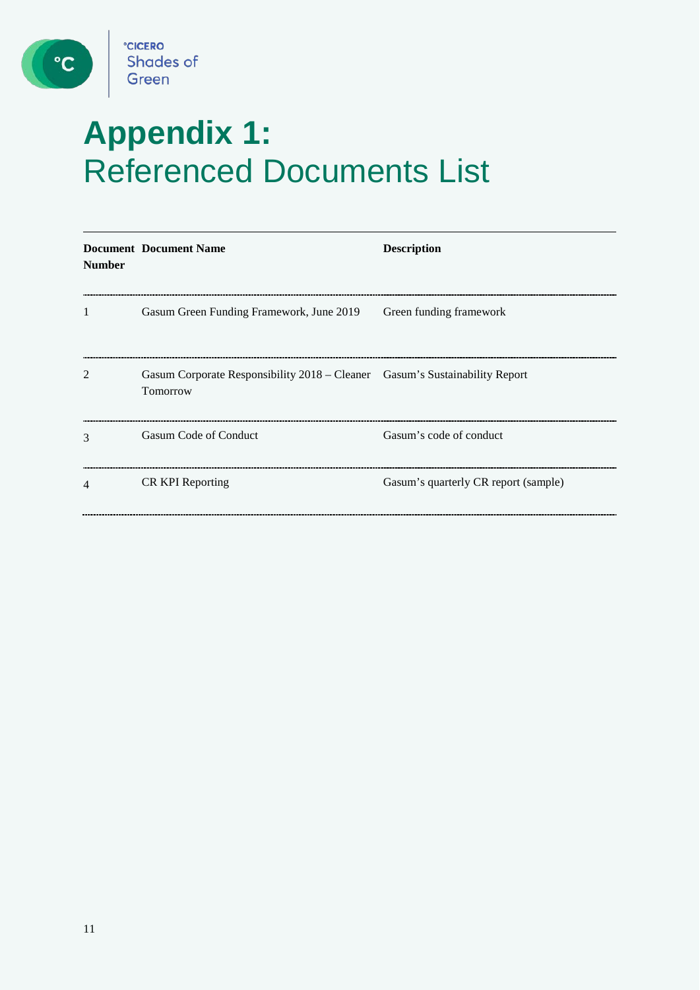

 $\bullet$ 

# **Appendix 1:** Referenced Documents List

| <b>Number</b>  | <b>Document Document Name</b>                                                           | <b>Description</b>                   |
|----------------|-----------------------------------------------------------------------------------------|--------------------------------------|
| 1              | Gasum Green Funding Framework, June 2019                                                | Green funding framework              |
| $\overline{2}$ | Gasum Corporate Responsibility 2018 – Cleaner Gasum's Sustainability Report<br>Tomorrow |                                      |
| 3              | Gasum Code of Conduct                                                                   | Gasum's code of conduct              |
| 4              | <b>CR KPI Reporting</b>                                                                 | Gasum's quarterly CR report (sample) |